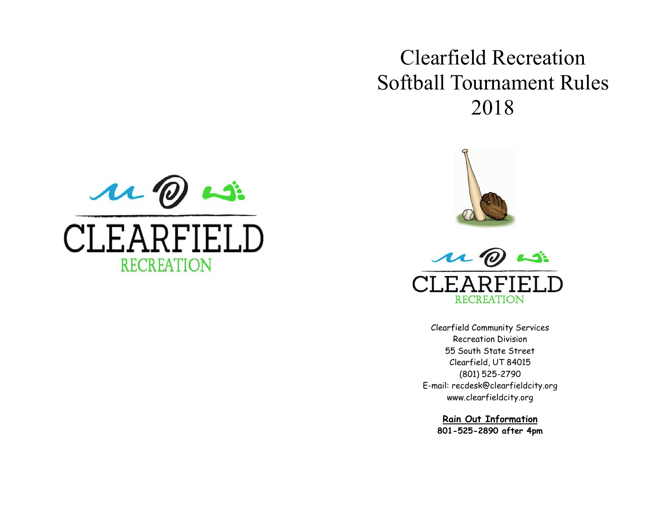## Clearfield Recreation Softball Tournament Rules 2018







Clearfield Community Services Recreation Division 55 South State Street Clearfield, UT 84015 (801) 525-2790 E-mail: recdesk@clearfieldcity.org www.clearfieldcity.org

> **Rain Out Information 801-525-2890 after 4pm**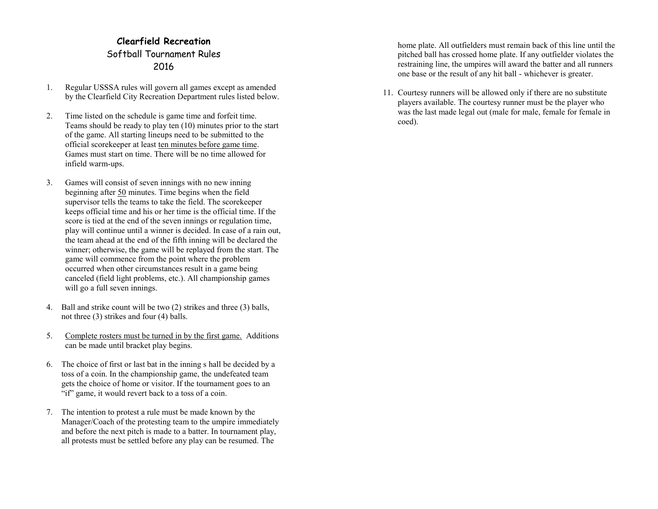## **Clearfield Recreation** Softball Tournament Rules 2016

- 1. Regular USSSA rules will govern all games except as amended by the Clearfield City Recreation Department rules listed below.
- 2. Time listed on the schedule is game time and forfeit time. Teams should be ready to play ten (10) minutes prior to the start of the game. All starting lineups need to be submitted to the official scorekeeper at least ten minutes before game time. Games must start on time. There will be no time allowed for infield warm-ups.
- 3. Games will consist of seven innings with no new inning beginning after 50 minutes. Time begins when the field supervisor tells the teams to take the field. The scorekeeper keeps official time and his or her time is the official time. If the score is tied at the end of the seven innings or regulation time, play will continue until a winner is decided. In case of a rain out, the team ahead at the end of the fifth inning will be declared the winner; otherwise, the game will be replayed from the start. The game will commence from the point where the problem occurred when other circumstances result in a game being canceled (field light problems, etc.). All championship games will go a full seven innings.
- 4. Ball and strike count will be two (2) strikes and three (3) balls, not three (3) strikes and four (4) balls.
- 5. Complete rosters must be turned in by the first game. Additions can be made until bracket play begins.
- 6. The choice of first or last bat in the inning s hall be decided by a toss of a coin. In the championship game, the undefeated team gets the choice of home or visitor. If the tournament goes to an "if" game, it would revert back to a toss of a coin.
- 7. The intention to protest a rule must be made known by the Manager/Coach of the protesting team to the umpire immediately and before the next pitch is made to a batter. In tournament play, all protests must be settled before any play can be resumed. The

home plate. All outfielders must remain back of this line until the pitched ball has crossed home plate. If any outfielder violates the restraining line, the umpires will award the batter and all runners one base or the result of any hit ball - whichever is greater.

11. Courtesy runners will be allowed only if there are no substitute players available. The courtesy runner must be the player who was the last made legal out (male for male, female for female in coed).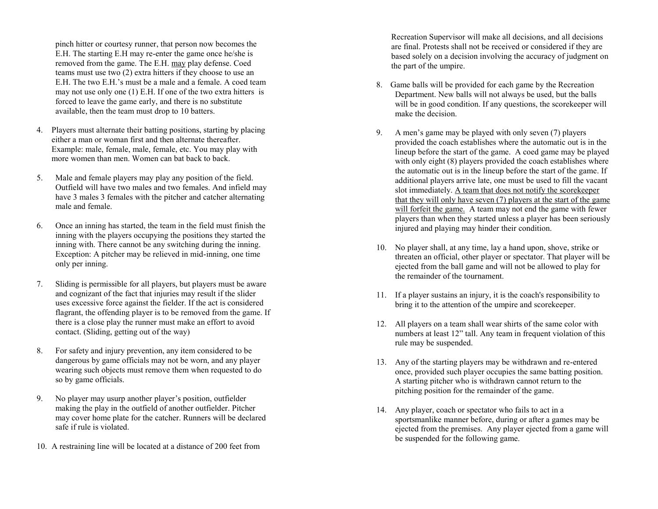pinch hitter or courtesy runner, that person now becomes the E.H. The starting E.H may re -enter the game once he/she is removed from the game. The E.H. may play defense. Coed teams must use two (2) extra hitters if they choose to use an E.H. The two E.H.'s must be a male and a female. A coed team may not use only one (1) E.H. If one of the two extra hitters is forced to leave the game early, and there is no substitute available, then the team must drop to 10 batters.

- 4. Players must alternate their batting positions, starting by placing either a man or woman first and then alternate thereafter. Example: male, female, male, female, etc. You may play with more women than men. Women can bat back to back.
- 5. Male and female players may play any position of the field. Outfield will have two males and two females. And infield may have 3 males 3 females with the pitcher and catcher alternating male and female.
- 6. Once an inning has started, the team in the field must finish the inning with the players occupying the positions they started the inning with. There cannot be any switching during the inning. Exception: A pitcher may be relieved in mid-inning, one time only per inning.
- 7. Sliding is permissible for all players, but players must be aware and cognizant of the fact that injuries may result if the slider uses excessive force against the fielder. If the act is considered flagrant, the offending player is to be removed from the game. If there is a close play the runner must make an effort to avoid contact. (Sliding, getting out of the way)
- 8. For safety and injury prevention, any item considered to be dangerous by game officials may not be worn, and any player wearing such objects must remove them when requested to do so by game officials.
- 9. No player may usurp another player's position, outfielder making the play in the outfield of another outfielder. Pitcher may cover home plate for the catcher. Runners will be declared safe if rule is violated.
- 10. A restraining line will be located at a distance of 200 feet from

Recreation Supervisor will make all decisions, and all decisions are final. Protests shall not be received or considered if they are based solely on a decision involving the accuracy of judgment on the part of the umpire.

- 8. Game balls will be provided for each game by the Recreation Department. New balls will not always be used, but the balls will be in good condition. If any questions, the scorekeeper will make the decision.
- 9. A men's game may be played with only seven (7) players provided the coach establishes where the automatic out is in the lineup before the start of the game. A coed game may be played with only eight (8) players provided the coach establishes where the automatic out is in the lineup before the start of the game. If additional players arrive late, one must be used to fill the vacant slot immediately. A team that does not notify the scorekeeper that they will only have seven (7) players at the start of the game will forfeit the game. A team may not end the game with fewer players than when they started unless a player has been seriously injured and playing may hinder their condition.
- 10. No player shall, at any time, lay a hand upon, shove, strike or threaten an official, other player or spectator. That player will be ejected from the ball game and will not be allowed to play for the remainder of the tournament.
- 11. If a player sustains an injury, it is the coach's responsibility to bring it to the attention of the umpire and scorekeeper.
- 12. All players on a team shall wear shirts of the same color with numbers at least 12" tall. Any team in frequent violation of this rule may be suspended.
- 13. Any of the starting players may be withdrawn and re -entered once, provided such player occupies the same batting position. A starting pitcher who is withdrawn cannot return to the pitching position for the remainder of the game.
- 14. Any player, coach or spectator who fails to act in a sportsmanlike manner before, during or after a games may be ejected from the premises. Any player ejected from a game will be suspended for the following game.